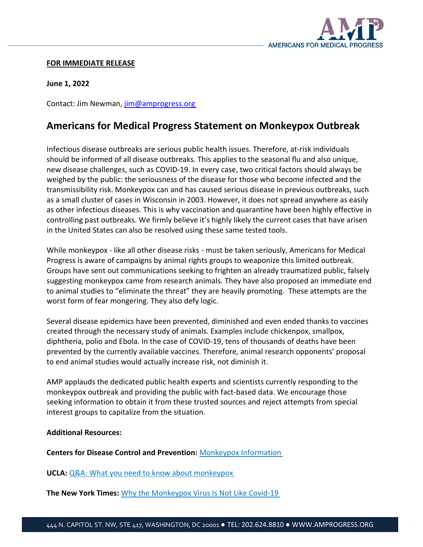

## **FOR IMMEDIATE RELEASE**

**June 1, 2022** 

Contact: Jim Newman, [jim@amprogress.org](mailto:jim@amprogress.org)

## **Americans for Medical Progress Statement on Monkeypox Outbreak**

Infectious disease outbreaks are serious public health issues. Therefore, at-risk individuals should be informed of all disease outbreaks. This applies to the seasonal flu and also unique, new disease challenges, such as COVID-19. In every case, two critical factors should always be weighed by the public: the seriousness of the disease for those who become infected and the transmissibility risk. Monkeypox can and has caused serious disease in previous outbreaks, such as a small cluster of cases in Wisconsin in 2003. However, it does not spread anywhere as easily as other infectious diseases. This is why vaccination and quarantine have been highly effective in controlling past outbreaks. We firmly believe it's highly likely the current cases that have arisen in the United States can also be resolved using these same tested tools.

While monkeypox - like all other disease risks - must be taken seriously, Americans for Medical Progress is aware of campaigns by animal rights groups to weaponize this limited outbreak. Groups have sent out communications seeking to frighten an already traumatized public, falsely suggesting monkeypox came from research animals. They have also proposed an immediate end to animal studies to "eliminate the threat" they are heavily promoting. These attempts are the worst form of fear mongering. They also defy logic.

Several disease epidemics have been prevented, diminished and even ended thanks to vaccines created through the necessary study of animals. Examples include chickenpox, smallpox, diphtheria, polio and Ebola. In the case of COVID-19, tens of thousands of deaths have been prevented by the currently available vaccines. Therefore, animal research opponents' proposal to end animal studies would actually increase risk, not diminish it.

AMP applauds the dedicated public health experts and scientists currently responding to the monkeypox outbreak and providing the public with fact-based data. We encourage those seeking information to obtain it from these trusted sources and reject attempts from special interest groups to capitalize from the situation.

## **Additional Resources:**

**Centers for Disease Control and Prevention:** [Monkeypox Information](https://www.cdc.gov/poxvirus/monkeypox/index.html)

**UCLA:** [Q&A: What you need to know about monkeypox](https://newsroom.ucla.edu/releases/monkeypox-information-anne-rimoin)

**The New York Times:** [Why the Monkeypox Virus Is Not Like Covid-19](https://www.nytimes.com/article/monkeypox-virus-covid.html)